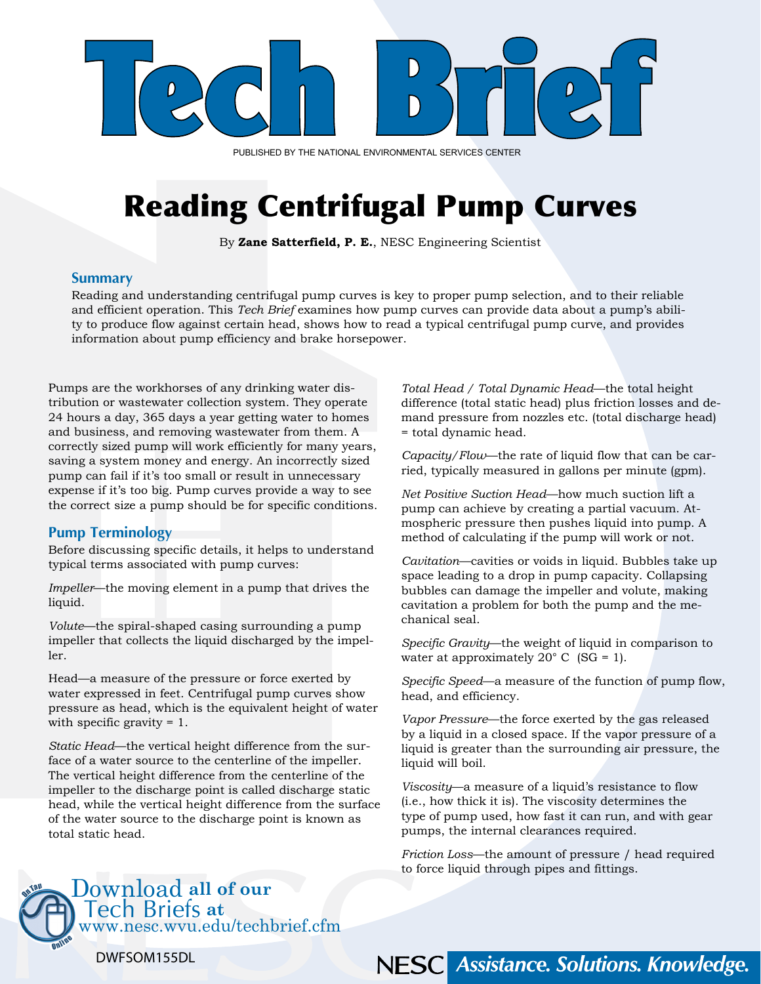

PUBLISHED BY THE NATIONAL ENVIRONMENTAL SERVICES CENTER

# Reading Centrifugal Pump Curves

By **Zane Satterfield, P. E.**, NESC Engineering Scientist

#### **Summary**

Reading and understanding centrifugal pump curves is key to proper pump selection, and to their reliable and efficient operation. This *Tech Brief* examines how pump curves can provide data about a pump's ability to produce flow against certain head, shows how to read a typical centrifugal pump curve, and provides information about pump efficiency and brake horsepower.

Pumps are the workhorses of any drinking water distribution or wastewater collection system. They operate 24 hours a day, 365 days a year getting water to homes and business, and removing wastewater from them. A correctly sized pump will work efficiently for many years, saving a system money and energy. An incorrectly sized pump can fail if it's too small or result in unnecessary expense if it's too big. Pump curves provide a way to see the correct size a pump should be for specific conditions.

#### **Pump Terminology**

Before discussing specific details, it helps to understand typical terms associated with pump curves:

*Impeller*—the moving element in a pump that drives the liquid.

*Volute*—the spiral-shaped casing surrounding a pump impeller that collects the liquid discharged by the impeller.

Head—a measure of the pressure or force exerted by water expressed in feet. Centrifugal pump curves show pressure as head, which is the equivalent height of water with specific gravity = 1.

*Static Head*—the vertical height difference from the surface of a water source to the centerline of the impeller. The vertical height difference from the centerline of the impeller to the discharge point is called discharge static head, while the vertical height difference from the surface of the water source to the discharge point is known as total static head.

www.nesc.wvu.edu/techbrief.cfm

*Total Head / Total Dynamic Head*—the total height difference (total static head) plus friction losses and demand pressure from nozzles etc. (total discharge head) = total dynamic head.

*Capacity/Flow*—the rate of liquid flow that can be carried, typically measured in gallons per minute (gpm).

*Net Positive Suction Head*—how much suction lift a pump can achieve by creating a partial vacuum. Atmospheric pressure then pushes liquid into pump. A method of calculating if the pump will work or not.

*Cavitation*—cavities or voids in liquid. Bubbles take up space leading to a drop in pump capacity. Collapsing bubbles can damage the impeller and volute, making cavitation a problem for both the pump and the mechanical seal.

*Specific Gravity*—the weight of liquid in comparison to water at approximately 20 $^{\circ}$  C (SG = 1).

*Specific Speed*—a measure of the function of pump flow, head, and efficiency.

*Vapor Pressure*—the force exerted by the gas released by a liquid in a closed space. If the vapor pressure of a liquid is greater than the surrounding air pressure, the liquid will boil.

*Viscosity*—a measure of a liquid's resistance to flow (i.e., how thick it is). The viscosity determines the type of pump used, how fast it can run, and with gear pumps, the internal clearances required.

*Friction Loss*—the amount of pressure / head required to force liquid through pipes and fittings.

NESC Assistance. Solutions. Knowledge.



Tech Briefs **at** 

Download **all of our**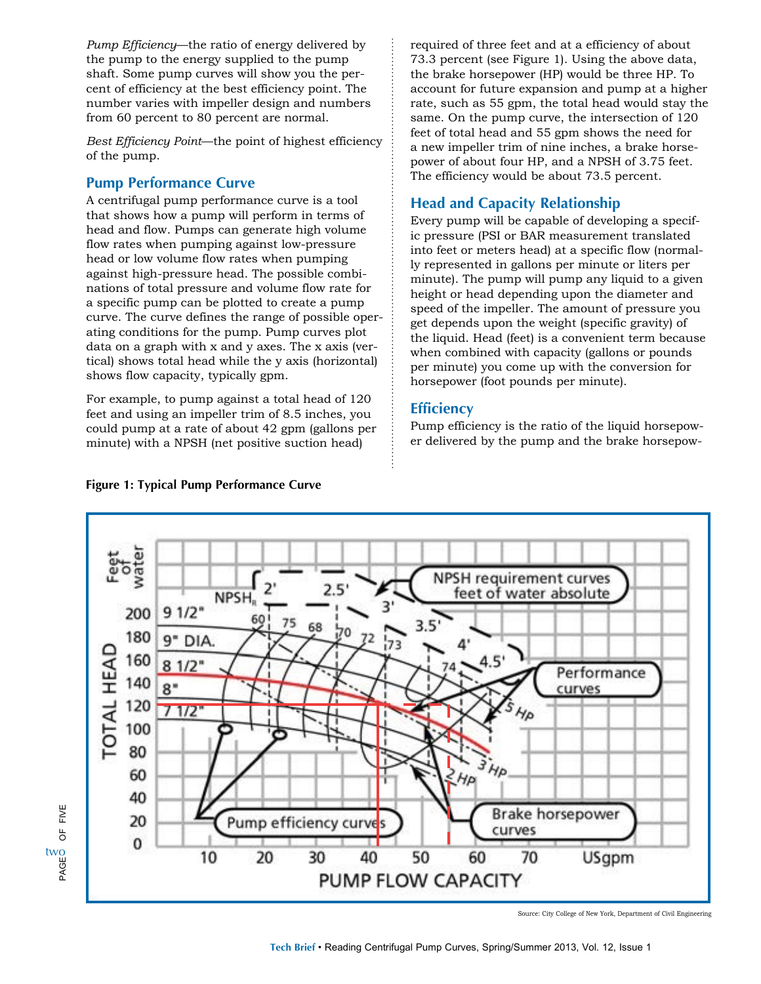*Pump Efficiency*—the ratio of energy delivered by the pump to the energy supplied to the pump shaft. Some pump curves will show you the percent of efficiency at the best efficiency point. The number varies with impeller design and numbers from 60 percent to 80 percent are normal.

*Best Efficiency Point*—the point of highest efficiency of the pump.

#### **Pump Performance Curve**

A centrifugal pump performance curve is a tool that shows how a pump will perform in terms of head and flow. Pumps can generate high volume flow rates when pumping against low-pressure head or low volume flow rates when pumping against high-pressure head. The possible combinations of total pressure and volume flow rate for a specific pump can be plotted to create a pump curve. The curve defines the range of possible operating conditions for the pump. Pump curves plot data on a graph with x and y axes. The x axis (vertical) shows total head while the y axis (horizontal) shows flow capacity, typically gpm.

For example, to pump against a total head of 120 feet and using an impeller trim of 8.5 inches, you could pump at a rate of about 42 gpm (gallons per minute) with a NPSH (net positive suction head)

required of three feet and at a efficiency of about 73.3 percent (see Figure 1). Using the above data, the brake horsepower (HP) would be three HP. To account for future expansion and pump at a higher rate, such as 55 gpm, the total head would stay the same. On the pump curve, the intersection of 120 feet of total head and 55 gpm shows the need for a new impeller trim of nine inches, a brake horsepower of about four HP, and a NPSH of 3.75 feet. The efficiency would be about 73.5 percent.

## **Head and Capacity Relationship**

Every pump will be capable of developing a specific pressure (PSI or BAR measurement translated into feet or meters head) at a specific flow (normally represented in gallons per minute or liters per minute). The pump will pump any liquid to a given height or head depending upon the diameter and speed of the impeller. The amount of pressure you get depends upon the weight (specific gravity) of the liquid. Head (feet) is a convenient term because when combined with capacity (gallons or pounds per minute) you come up with the conversion for horsepower (foot pounds per minute).

### **Efficiency**

Pump efficiency is the ratio of the liquid horsepower delivered by the pump and the brake horsepow-



#### **Figure 1: Typical Pump Performance Curve**

PAGE OF FIVE

 $\overline{5}$ 

FIVE

two<br>ሠ<br>ጅ

Source: City College of New York, Department of Civil Engineering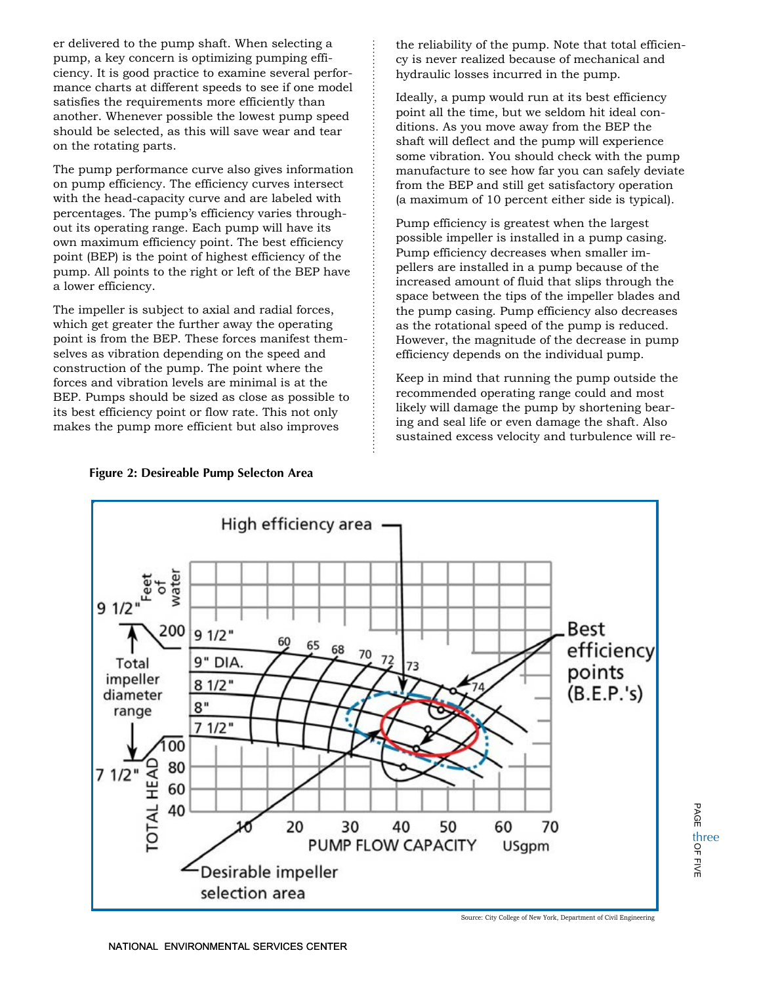er delivered to the pump shaft. When selecting a pump, a key concern is optimizing pumping efficiency. It is good practice to examine several performance charts at different speeds to see if one model satisfies the requirements more efficiently than another. Whenever possible the lowest pump speed should be selected, as this will save wear and tear on the rotating parts.

The pump performance curve also gives information on pump efficiency. The efficiency curves intersect with the head-capacity curve and are labeled with percentages. The pump's efficiency varies throughout its operating range. Each pump will have its own maximum efficiency point. The best efficiency point (BEP) is the point of highest efficiency of the pump. All points to the right or left of the BEP have a lower efficiency.

The impeller is subject to axial and radial forces, which get greater the further away the operating point is from the BEP. These forces manifest themselves as vibration depending on the speed and construction of the pump. The point where the forces and vibration levels are minimal is at the BEP. Pumps should be sized as close as possible to its best efficiency point or flow rate. This not only makes the pump more efficient but also improves

the reliability of the pump. Note that total efficiency is never realized because of mechanical and hydraulic losses incurred in the pump.

Ideally, a pump would run at its best efficiency point all the time, but we seldom hit ideal conditions. As you move away from the BEP the shaft will deflect and the pump will experience some vibration. You should check with the pump manufacture to see how far you can safely deviate from the BEP and still get satisfactory operation (a maximum of 10 percent either side is typical).

Pump efficiency is greatest when the largest possible impeller is installed in a pump casing. Pump efficiency decreases when smaller impellers are installed in a pump because of the increased amount of fluid that slips through the space between the tips of the impeller blades and the pump casing. Pump efficiency also decreases as the rotational speed of the pump is reduced. However, the magnitude of the decrease in pump efficiency depends on the individual pump.

Keep in mind that running the pump outside the recommended operating range could and most likely will damage the pump by shortening bearing and seal life or even damage the shaft. Also sustained excess velocity and turbulence will re-



**Figure 2: Desireable Pump Selecton Area**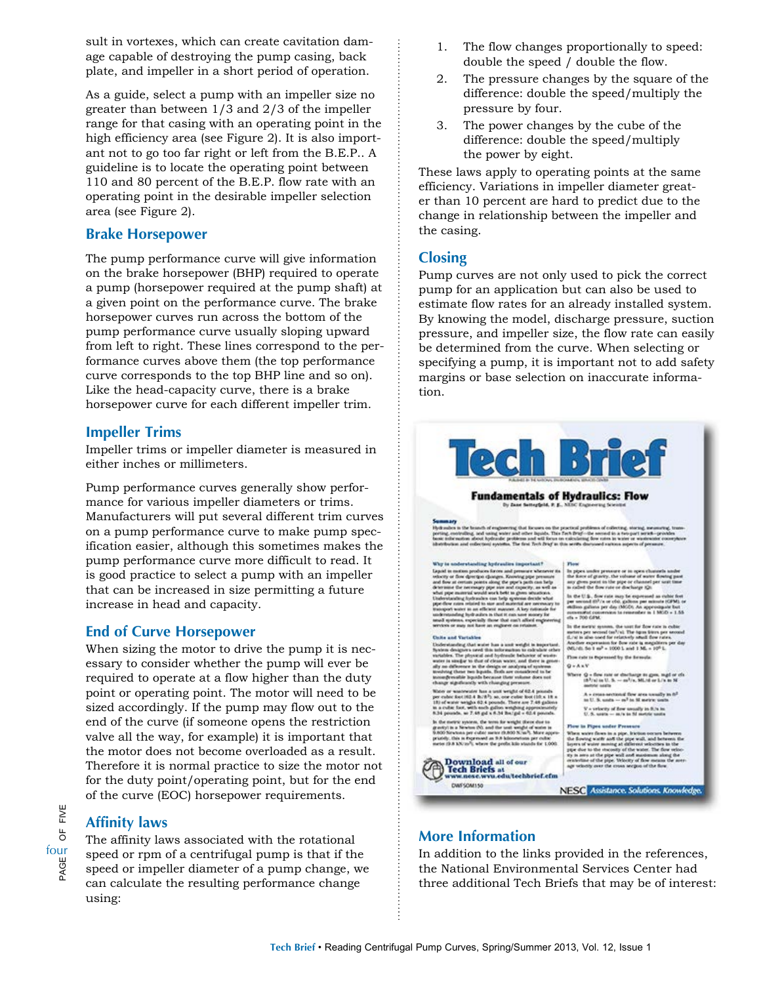sult in vortexes, which can create cavitation damage capable of destroying the pump casing, back plate, and impeller in a short period of operation.

As a guide, select a pump with an impeller size no greater than between 1/3 and 2/3 of the impeller range for that casing with an operating point in the high efficiency area (see Figure 2). It is also important not to go too far right or left from the B.E.P.. A guideline is to locate the operating point between 110 and 80 percent of the B.E.P. flow rate with an operating point in the desirable impeller selection area (see Figure 2).

#### **Brake Horsepower**

The pump performance curve will give information on the brake horsepower (BHP) required to operate a pump (horsepower required at the pump shaft) at a given point on the performance curve. The brake horsepower curves run across the bottom of the pump performance curve usually sloping upward from left to right. These lines correspond to the performance curves above them (the top performance curve corresponds to the top BHP line and so on). Like the head-capacity curve, there is a brake horsepower curve for each different impeller trim.

#### **Impeller Trims**

Impeller trims or impeller diameter is measured in either inches or millimeters.

Pump performance curves generally show performance for various impeller diameters or trims. Manufacturers will put several different trim curves on a pump performance curve to make pump specification easier, although this sometimes makes the pump performance curve more difficult to read. It is good practice to select a pump with an impeller that can be increased in size permitting a future increase in head and capacity.

#### **End of Curve Horsepower**

When sizing the motor to drive the pump it is necessary to consider whether the pump will ever be required to operate at a flow higher than the duty point or operating point. The motor will need to be sized accordingly. If the pump may flow out to the end of the curve (if someone opens the restriction valve all the way, for example) it is important that the motor does not become overloaded as a result. Therefore it is normal practice to size the motor not for the duty point/operating point, but for the end of the curve (EOC) horsepower requirements.

# FIVE PAGE OF FIVE  $\overline{6}$ four<br>By Separation<br>Contract District District District District District District District District District District District Di

#### **Affinity laws**

The affinity laws associated with the rotational speed or rpm of a centrifugal pump is that if the speed or impeller diameter of a pump change, we can calculate the resulting performance change using:

- 1. The flow changes proportionally to speed: double the speed / double the flow.
- 2. The pressure changes by the square of the difference: double the speed/multiply the pressure by four.
- 3. The power changes by the cube of the difference: double the speed/multiply the power by eight.

These laws apply to operating points at the same efficiency. Variations in impeller diameter greater than 10 percent are hard to predict due to the change in relationship between the impeller and the casing.

#### **Closing**

Pump curves are not only used to pick the correct pump for an application but can also be used to estimate flow rates for an already installed system. By knowing the model, discharge pressure, suction pressure, and impeller size, the flow rate can easily be determined from the curve. When selecting or specifying a pump, it is important not to add safety margins or base selection on inaccurate information.



#### **More Information**

In addition to the links provided in the references, the National Environmental Services Center had three additional Tech Briefs that may be of interest: